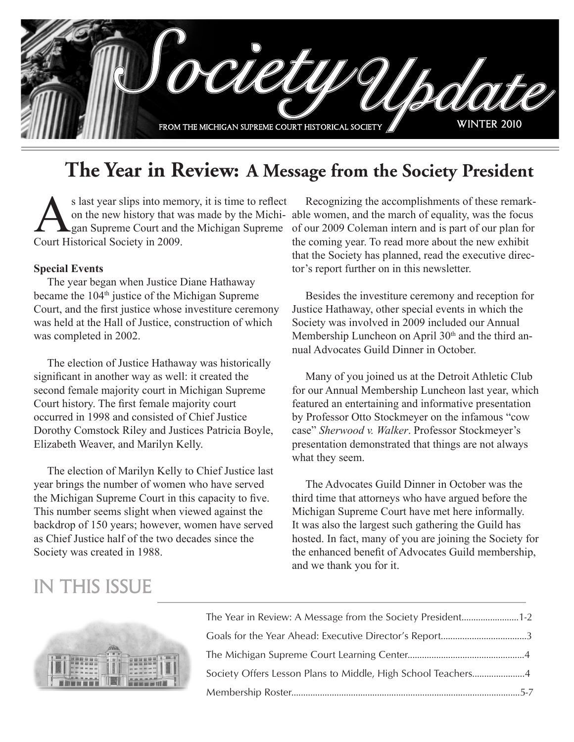

## **The Year in Review: A Message from the Society President**

s last year slips into memory, it is time to reflect<br>on the new history that was made by the Michi-<br>gan Supreme Court and the Michigan Supreme<br>Court Historical Society in 2009 gan Supreme Court and the Michigan Supreme Court Historical Society in 2009.

#### **Special Events**

The year began when Justice Diane Hathaway became the 104<sup>th</sup> justice of the Michigan Supreme Court, and the first justice whose investiture ceremony was held at the Hall of Justice, construction of which was completed in 2002.

The election of Justice Hathaway was historically significant in another way as well: it created the second female majority court in Michigan Supreme Court history. The first female majority court occurred in 1998 and consisted of Chief Justice Dorothy Comstock Riley and Justices Patricia Boyle, Elizabeth Weaver, and Marilyn Kelly.

The election of Marilyn Kelly to Chief Justice last year brings the number of women who have served the Michigan Supreme Court in this capacity to five. This number seems slight when viewed against the backdrop of 150 years; however, women have served as Chief Justice half of the two decades since the Society was created in 1988.

on the new history that was made by the Michi-able women, and the march of equality, was the focus Recognizing the accomplishments of these remarkof our 2009 Coleman intern and is part of our plan for the coming year. To read more about the new exhibit that the Society has planned, read the executive director's report further on in this newsletter.

> Besides the investiture ceremony and reception for Justice Hathaway, other special events in which the Society was involved in 2009 included our Annual Membership Luncheon on April 30<sup>th</sup> and the third annual Advocates Guild Dinner in October.

Many of you joined us at the Detroit Athletic Club for our Annual Membership Luncheon last year, which featured an entertaining and informative presentation by Professor Otto Stockmeyer on the infamous "cow case" *Sherwood v. Walker*. Professor Stockmeyer's presentation demonstrated that things are not always what they seem.

The Advocates Guild Dinner in October was the third time that attorneys who have argued before the Michigan Supreme Court have met here informally. It was also the largest such gathering the Guild has hosted. In fact, many of you are joining the Society for the enhanced benefit of Advocates Guild membership, and we thank you for it.

### in this issue



| The Year in Review: A Message from the Society President1-2  |  |
|--------------------------------------------------------------|--|
|                                                              |  |
|                                                              |  |
| Society Offers Lesson Plans to Middle, High School Teachers4 |  |
|                                                              |  |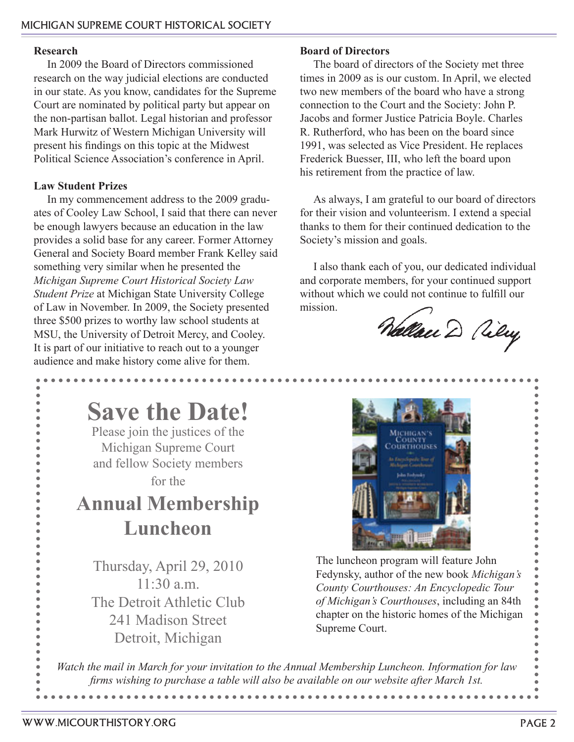#### **Research**

In 2009 the Board of Directors commissioned research on the way judicial elections are conducted in our state. As you know, candidates for the Supreme Court are nominated by political party but appear on the non-partisan ballot. Legal historian and professor Mark Hurwitz of Western Michigan University will present his findings on this topic at the Midwest Political Science Association's conference in April.

#### **Law Student Prizes**

In my commencement address to the 2009 graduates of Cooley Law School, I said that there can never be enough lawyers because an education in the law provides a solid base for any career. Former Attorney General and Society Board member Frank Kelley said something very similar when he presented the *Michigan Supreme Court Historical Society Law Student Prize* at Michigan State University College of Law in November. In 2009, the Society presented three \$500 prizes to worthy law school students at MSU, the University of Detroit Mercy, and Cooley. It is part of our initiative to reach out to a younger audience and make history come alive for them.

### **Board of Directors**

The board of directors of the Society met three times in 2009 as is our custom. In April, we elected two new members of the board who have a strong connection to the Court and the Society: John P. Jacobs and former Justice Patricia Boyle. Charles R. Rutherford, who has been on the board since 1991, was selected as Vice President. He replaces Frederick Buesser, III, who left the board upon his retirement from the practice of law.

As always, I am grateful to our board of directors for their vision and volunteerism. I extend a special thanks to them for their continued dedication to the Society's mission and goals.

I also thank each of you, our dedicated individual and corporate members, for your continued support without which we could not continue to fulfill our mission.

Nallau D Viley



Thursday, April 29, 2010  $11:30 a.m.$ The Detroit Athletic Club 241 Madison Street Detroit, Michigan



The luncheon program will feature John Fedynsky, author of the new book *Michigan's County Courthouses: An Encyclopedic Tour of Michigan's Courthouses*, including an 84th chapter on the historic homes of the Michigan Supreme Court.

*Watch the mail in March for your invitation to the Annual Membership Luncheon. Information for law firms wishing to purchase a table will also be available on our website after March 1st.*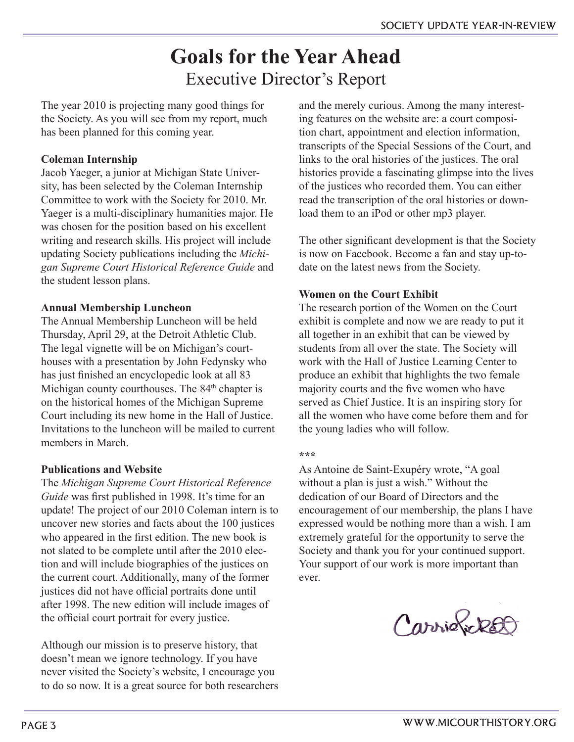## **Goals for the Year Ahead** Executive Director's Report

The year 2010 is projecting many good things for the Society. As you will see from my report, much has been planned for this coming year.

### **Coleman Internship**

Jacob Yaeger, a junior at Michigan State University, has been selected by the Coleman Internship Committee to work with the Society for 2010. Mr. Yaeger is a multi-disciplinary humanities major. He was chosen for the position based on his excellent writing and research skills. His project will include updating Society publications including the *Michigan Supreme Court Historical Reference Guide* and the student lesson plans.

### **Annual Membership Luncheon**

The Annual Membership Luncheon will be held Thursday, April 29, at the Detroit Athletic Club. The legal vignette will be on Michigan's courthouses with a presentation by John Fedynsky who has just finished an encyclopedic look at all 83 Michigan county courthouses. The 84<sup>th</sup> chapter is on the historical homes of the Michigan Supreme Court including its new home in the Hall of Justice. Invitations to the luncheon will be mailed to current members in March.

### **Publications and Website**

The *Michigan Supreme Court Historical Reference Guide* was first published in 1998. It's time for an update! The project of our 2010 Coleman intern is to uncover new stories and facts about the 100 justices who appeared in the first edition. The new book is not slated to be complete until after the 2010 election and will include biographies of the justices on the current court. Additionally, many of the former justices did not have official portraits done until after 1998. The new edition will include images of the official court portrait for every justice.

Although our mission is to preserve history, that doesn't mean we ignore technology. If you have never visited the Society's website, I encourage you to do so now. It is a great source for both researchers and the merely curious. Among the many interesting features on the website are: a court composition chart, appointment and election information, transcripts of the Special Sessions of the Court, and links to the oral histories of the justices. The oral histories provide a fascinating glimpse into the lives of the justices who recorded them. You can either read the transcription of the oral histories or download them to an iPod or other mp3 player.

The other significant development is that the Society is now on Facebook. Become a fan and stay up-todate on the latest news from the Society.

### **Women on the Court Exhibit**

The research portion of the Women on the Court exhibit is complete and now we are ready to put it all together in an exhibit that can be viewed by students from all over the state. The Society will work with the Hall of Justice Learning Center to produce an exhibit that highlights the two female majority courts and the five women who have served as Chief Justice. It is an inspiring story for all the women who have come before them and for the young ladies who will follow.

#### **\*\*\***

As Antoine de Saint-Exupéry wrote, "A goal without a plan is just a wish." Without the dedication of our Board of Directors and the encouragement of our membership, the plans I have expressed would be nothing more than a wish. I am extremely grateful for the opportunity to serve the Society and thank you for your continued support. Your support of our work is more important than ever.

Carrioficket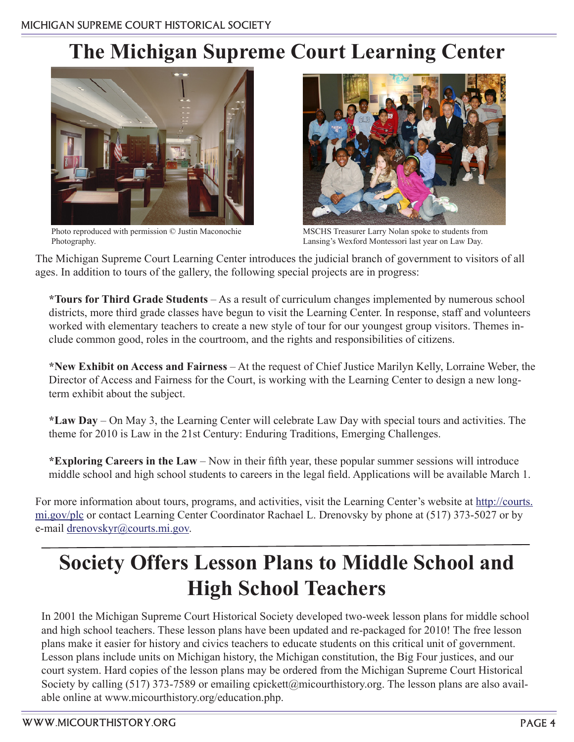# **The Michigan Supreme Court Learning Center**



Photo reproduced with permission © Justin Maconochie Photography.



MSCHS Treasurer Larry Nolan spoke to students from Lansing's Wexford Montessori last year on Law Day.

The Michigan Supreme Court Learning Center introduces the judicial branch of government to visitors of all ages. In addition to tours of the gallery, the following special projects are in progress:

**\*Tours for Third Grade Students** – As a result of curriculum changes implemented by numerous school districts, more third grade classes have begun to visit the Learning Center. In response, staff and volunteers worked with elementary teachers to create a new style of tour for our youngest group visitors. Themes include common good, roles in the courtroom, and the rights and responsibilities of citizens.

**\*New Exhibit on Access and Fairness** – At the request of Chief Justice Marilyn Kelly, Lorraine Weber, the Director of Access and Fairness for the Court, is working with the Learning Center to design a new longterm exhibit about the subject.

**\*Law Day** – On May 3, the Learning Center will celebrate Law Day with special tours and activities. The theme for 2010 is Law in the 21st Century: Enduring Traditions, Emerging Challenges.

**\*Exploring Careers in the Law** – Now in their fifth year, these popular summer sessions will introduce middle school and high school students to careers in the legal field. Applications will be available March 1.

For more information about tours, programs, and activities, visit the Learning Center's website at http://courts. mi.gov/plc or contact Learning Center Coordinator Rachael L. Drenovsky by phone at (517) 373-5027 or by e-mail drenovskyr@courts.mi.gov.

# **Society Offers Lesson Plans to Middle School and High School Teachers**

In 2001 the Michigan Supreme Court Historical Society developed two-week lesson plans for middle school and high school teachers. These lesson plans have been updated and re-packaged for 2010! The free lesson plans make it easier for history and civics teachers to educate students on this critical unit of government. Lesson plans include units on Michigan history, the Michigan constitution, the Big Four justices, and our court system. Hard copies of the lesson plans may be ordered from the Michigan Supreme Court Historical Society by calling (517) 373-7589 or emailing cpickett@micourthistory.org. The lesson plans are also available online at www.micourthistory.org/education.php.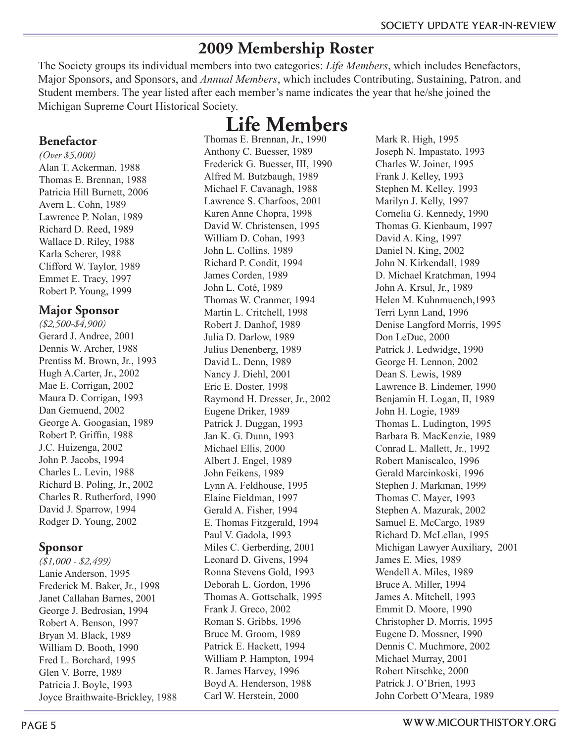### **2009 Membership Roster**

The Society groups its individual members into two categories: *Life Members*, which includes Benefactors, Major Sponsors, and Sponsors, and *Annual Members*, which includes Contributing, Sustaining, Patron, and Student members. The year listed after each member's name indicates the year that he/she joined the Michigan Supreme Court Historical Society.

### **Life Members**

### **Benefactor**

*(Over \$5,000)* Alan T. Ackerman, 1988 Thomas E. Brennan, 1988 Patricia Hill Burnett, 2006 Avern L. Cohn, 1989 Lawrence P. Nolan, 1989 Richard D. Reed, 1989 Wallace D. Riley, 1988 Karla Scherer, 1988 Clifford W. Taylor, 1989 Emmet E. Tracy, 1997 Robert P. Young, 1999

### **Major Sponsor**

*(\$2,500-\$4,900)* Gerard J. Andree, 2001 Dennis W. Archer, 1988 Prentiss M. Brown, Jr., 1993 Hugh A.Carter, Jr., 2002 Mae E. Corrigan, 2002 Maura D. Corrigan, 1993 Dan Gemuend, 2002 George A. Googasian, 1989 Robert P. Griffin, 1988 J.C. Huizenga, 2002 John P. Jacobs, 1994 Charles L. Levin, 1988 Richard B. Poling, Jr., 2002 Charles R. Rutherford, 1990 David J. Sparrow, 1994 Rodger D. Young, 2002

### **Sponsor**

*(\$1,000 - \$2,499)* Lanie Anderson, 1995 Frederick M. Baker, Jr., 1998 Janet Callahan Barnes, 2001 George J. Bedrosian, 1994 Robert A. Benson, 1997 Bryan M. Black, 1989 William D. Booth, 1990 Fred L. Borchard, 1995 Glen V. Borre, 1989 Patricia J. Boyle, 1993 Joyce Braithwaite-Brickley, 1988

Thomas E. Brennan, Jr., 1990 Anthony C. Buesser, 1989 Frederick G. Buesser, III, 1990 Alfred M. Butzbaugh, 1989 Michael F. Cavanagh, 1988 Lawrence S. Charfoos, 2001 Karen Anne Chopra, 1998 David W. Christensen, 1995 William D. Cohan, 1993 John L. Collins, 1989 Richard P. Condit, 1994 James Corden, 1989 John L. Coté, 1989 Thomas W. Cranmer, 1994 Martin L. Critchell, 1998 Robert J. Danhof, 1989 Julia D. Darlow, 1989 Julius Denenberg, 1989 David L. Denn, 1989 Nancy J. Diehl, 2001 Eric E. Doster, 1998 Raymond H. Dresser, Jr., 2002 Eugene Driker, 1989 Patrick J. Duggan, 1993 Jan K. G. Dunn, 1993 Michael Ellis, 2000 Albert J. Engel, 1989 John Feikens, 1989 Lynn A. Feldhouse, 1995 Elaine Fieldman, 1997 Gerald A. Fisher, 1994 E. Thomas Fitzgerald, 1994 Paul V. Gadola, 1993 Miles C. Gerberding, 2001 Leonard D. Givens, 1994 Ronna Stevens Gold, 1993 Deborah L. Gordon, 1996 Thomas A. Gottschalk, 1995 Frank J. Greco, 2002 Roman S. Gribbs, 1996 Bruce M. Groom, 1989 Patrick E. Hackett, 1994 William P. Hampton, 1994 R. James Harvey, 1996 Boyd A. Henderson, 1988 Carl W. Herstein, 2000

Mark R. High, 1995 Joseph N. Impastato, 1993 Charles W. Joiner, 1995 Frank J. Kelley, 1993 Stephen M. Kelley, 1993 Marilyn J. Kelly, 1997 Cornelia G. Kennedy, 1990 Thomas G. Kienbaum, 1997 David A. King, 1997 Daniel N. King, 2002 John N. Kirkendall, 1989 D. Michael Kratchman, 1994 John A. Krsul, Jr., 1989 Helen M. Kuhnmuench,1993 Terri Lynn Land, 1996 Denise Langford Morris, 1995 Don LeDuc, 2000 Patrick J. Ledwidge, 1990 George H. Lennon, 2002 Dean S. Lewis, 1989 Lawrence B. Lindemer, 1990 Benjamin H. Logan, II, 1989 John H. Logie, 1989 Thomas L. Ludington, 1995 Barbara B. MacKenzie, 1989 Conrad L. Mallett, Jr., 1992 Robert Maniscalco, 1996 Gerald Marcinkoski, 1996 Stephen J. Markman, 1999 Thomas C. Mayer, 1993 Stephen A. Mazurak, 2002 Samuel E. McCargo, 1989 Richard D. McLellan, 1995 Michigan Lawyer Auxiliary, 2001 James E. Mies, 1989 Wendell A. Miles, 1989 Bruce A. Miller, 1994 James A. Mitchell, 1993 Emmit D. Moore, 1990 Christopher D. Morris, 1995 Eugene D. Mossner, 1990 Dennis C. Muchmore, 2002 Michael Murray, 2001 Robert Nitschke, 2000 Patrick J. O'Brien, 1993 John Corbett O'Meara, 1989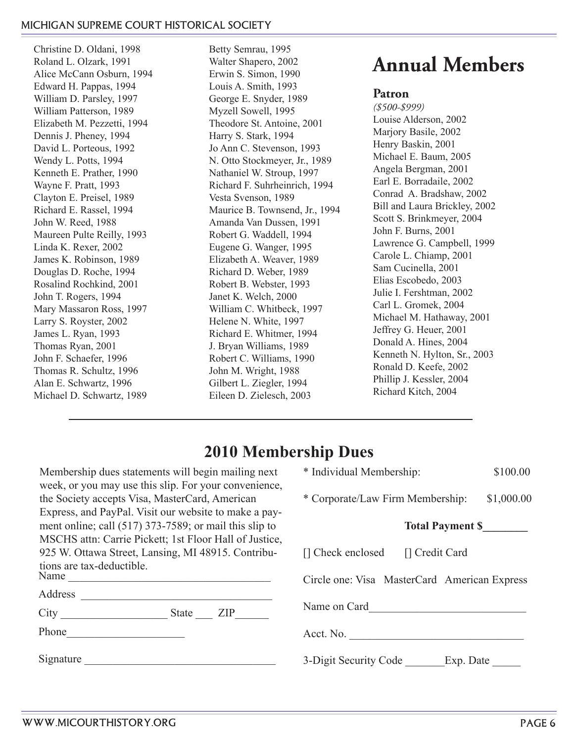#### michigan supreme court historical society

Christine D. Oldani, 1998 Roland L. Olzark, 1991 Alice McCann Osburn, 1994 Edward H. Pappas, 1994 William D. Parsley, 1997 William Patterson, 1989 Elizabeth M. Pezzetti, 1994 Dennis J. Pheney, 1994 David L. Porteous, 1992 Wendy L. Potts, 1994 Kenneth E. Prather, 1990 Wayne F. Pratt, 1993 Clayton E. Preisel, 1989 Richard E. Rassel, 1994 John W. Reed, 1988 Maureen Pulte Reilly, 1993 Linda K. Rexer, 2002 James K. Robinson, 1989 Douglas D. Roche, 1994 Rosalind Rochkind, 2001 John T. Rogers, 1994 Mary Massaron Ross, 1997 Larry S. Royster, 2002 James L. Ryan, 1993 Thomas Ryan, 2001 John F. Schaefer, 1996 Thomas R. Schultz, 1996 Alan E. Schwartz, 1996 Michael D. Schwartz, 1989

Betty Semrau, 1995 Walter Shapero, 2002 Erwin S. Simon, 1990 Louis A. Smith, 1993 George E. Snyder, 1989 Myzell Sowell, 1995 Theodore St. Antoine, 2001 Harry S. Stark, 1994 Jo Ann C. Stevenson, 1993 N. Otto Stockmeyer, Jr., 1989 Nathaniel W. Stroup, 1997 Richard F. Suhrheinrich, 1994 Vesta Svenson, 1989 Maurice B. Townsend, Jr., 1994 Amanda Van Dussen, 1991 Robert G. Waddell, 1994 Eugene G. Wanger, 1995 Elizabeth A. Weaver, 1989 Richard D. Weber, 1989 Robert B. Webster, 1993 Janet K. Welch, 2000 William C. Whitbeck, 1997 Helene N. White, 1997 Richard E. Whitmer, 1994 J. Bryan Williams, 1989 Robert C. Williams, 1990 John M. Wright, 1988 Gilbert L. Ziegler, 1994 Eileen D. Zielesch, 2003

# **Annual Members**

#### **Patron**

*(\$500-\$999)* Louise Alderson, 2002 Marjory Basile, 2002 Henry Baskin, 2001 Michael E. Baum, 2005 Angela Bergman, 2001 Earl E. Borradaile, 2002 Conrad A. Bradshaw, 2002 Bill and Laura Brickley, 2002 Scott S. Brinkmeyer, 2004 John F. Burns, 2001 Lawrence G. Campbell, 1999 Carole L. Chiamp, 2001 Sam Cucinella, 2001 Elias Escobedo, 2003 Julie I. Fershtman, 2002 Carl L. Gromek, 2004 Michael M. Hathaway, 2001 Jeffrey G. Heuer, 2001 Donald A. Hines, 2004 Kenneth N. Hylton, Sr., 2003 Ronald D. Keefe, 2002 Phillip J. Kessler, 2004 Richard Kitch, 2004

### **2010 Membership Dues**

Membership dues statements will begin mailing next week, or you may use this slip. For your convenience, the Society accepts Visa, MasterCard, American Express, and PayPal. Visit our website to make a payment online; call (517) 373-7589; or mail this slip to MSCHS attn: Carrie Pickett; 1st Floor Hall of Justice, 925 W. Ottawa Street, Lansing, MI 48915. Contributions are tax-deductible. Name  $\frac{1}{\sqrt{1-\frac{1}{2}}}\cdot\frac{1}{\sqrt{1-\frac{1}{2}}}\cdot\frac{1}{\sqrt{1-\frac{1}{2}}}\cdot\frac{1}{\sqrt{1-\frac{1}{2}}}\cdot\frac{1}{\sqrt{1-\frac{1}{2}}}\cdot\frac{1}{\sqrt{1-\frac{1}{2}}}\cdot\frac{1}{\sqrt{1-\frac{1}{2}}}\cdot\frac{1}{\sqrt{1-\frac{1}{2}}}\cdot\frac{1}{\sqrt{1-\frac{1}{2}}}\cdot\frac{1}{\sqrt{1-\frac{1}{2}}}\cdot\frac{1}{\sqrt{1-\frac{1}{2}}}\cdot\frac{1}{\sqrt{1-\frac{1}{2}}}\$ 

City \_\_\_\_\_\_\_\_\_\_\_\_\_\_\_\_\_\_\_ State \_\_\_ ZIP\_\_\_\_\_\_

Phone\_\_\_\_\_\_\_\_\_\_\_\_\_\_\_\_\_\_\_\_\_

Signature

| * Individual Membership:                     | \$100.00   |  |  |
|----------------------------------------------|------------|--|--|
| * Corporate/Law Firm Membership:             | \$1,000.00 |  |  |
| <b>Total Payment \$</b>                      |            |  |  |
| [] Check enclosed [] Credit Card             |            |  |  |
| Circle one: Visa MasterCard American Express |            |  |  |
| Name on Card                                 |            |  |  |
| Acct. No.                                    |            |  |  |
| 3-Digit Security Code<br>Exp. Date           |            |  |  |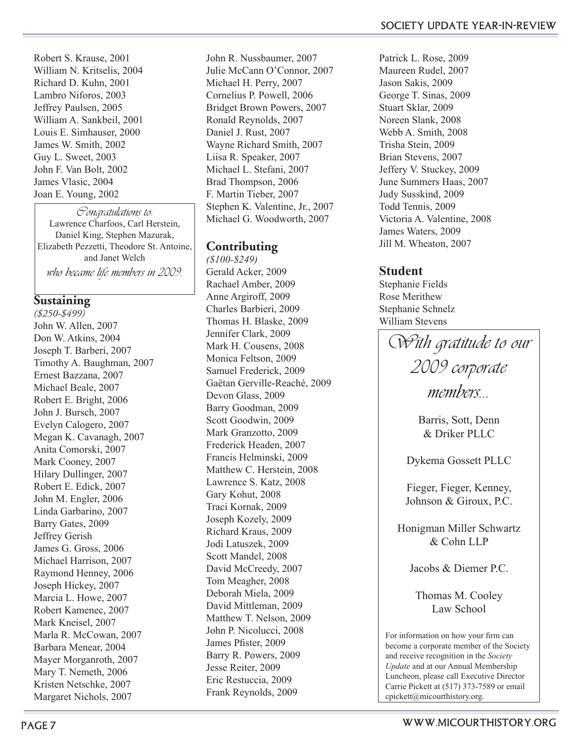Robert S. Krause, 2001 William N. Kritselis, 2004 Richard D. Kuhn, 2001 Lambro Niforos, 2003 Jeffrey Paulsen, 2005 William A. Sankbeil, 2001 Louis E. Simhauser, 2000 James W. Smith, 2002 Guy L. Sweet, 2003 John F. Van Bolt, 2002 James Vlasic, 2004 Joan E. Young, 2002

Congratulations to: Lawrence Charfoos, Carl Herstein, Daniel King, Stephen Mazurak, Elizabeth Pezzetti, Theodore St. Antoine, and Janet Welch who became life members in 2009.

### **Sustaining**

*(\$250-\$499)* John W. Allen, 2007 Don W. Atkins, 2004 Joseph T. Barberi, 2007 Timothy A. Baughman, 2007 Ernest Bazzana, 2007 Michael Beale, 2007 Robert E. Bright, 2006 John J. Bursch, 2007 Evelyn Calogero, 2007 Megan K. Cavanagh, 2007 Anita Comorski, 2007 Mark Cooney, 2007 Hilary Dullinger, 2007 Robert E. Edick, 2007 John M. Engler, 2006 Linda Garbarino, 2007 Barry Gates, 2009 Jeffrey Gerish James G. Gross, 2006 Michael Harrison, 2007 Raymond Henney, 2006 Joseph Hickey, 2007 Marcia L. Howe, 2007 Robert Kamenec, 2007 Mark Kneisel, 2007 Marla R. McCowan, 2007 Barbara Menear, 2004 Mayer Morganroth, 2007 Mary T. Nemeth, 2006 Kristen Netschke, 2007 Margaret Nichols, 2007

John R. Nussbaumer, 2007 Julie McCann O'Connor, 2007 Michael H. Perry, 2007 Cornelius P. Powell, 2006 Bridget Brown Powers, 2007 Ronald Reynolds, 2007 Daniel J. Rust, 2007 Wayne Richard Smith, 2007 Liisa R. Speaker, 2007 Michael L. Stefani, 2007 Brad Thompson, 2006 F. Martin Tieber, 2007 Stephen K. Valentine, Jr., 2007 Michael G. Woodworth, 2007

### **Contributing**

*(\$100-\$249)* Gerald Acker, 2009 Rachael Amber, 2009 Anne Argiroff, 2009 Charles Barbieri, 2009 Thomas H. Blaske, 2009 Jennifer Clark, 2009 Mark H. Cousens, 2008 Monica Feltson, 2009 Samuel Frederick, 2009 Gaëtan Gerville-Reaché, 2009 Devon Glass, 2009 Barry Goodman, 2009 Scott Goodwin, 2009 Mark Granzotto, 2009 Frederick Headen, 2007 Francis Helminski, 2009 Matthew C. Herstein, 2008 Lawrence S. Katz, 2008 Gary Kohut, 2008 Traci Kornak, 2009 Joseph Kozely, 2009 Richard Kraus, 2009 Jodi Latuszek, 2009 Scott Mandel, 2008 David McCreedy, 2007 Tom Meagher, 2008 Deborah Miela, 2009 David Mittleman, 2009 Matthew T. Nelson, 2009 John P. Nicolucci, 2008 James Pfister, 2009 Barry R. Powers, 2009 Jesse Reiter, 2009 Eric Restuccia, 2009 Frank Reynolds, 2009

Patrick L. Rose, 2009 Maureen Rudel, 2007 Jason Sakis, 2009 George T. Sinas, 2009 Stuart Sklar, 2009 Noreen Slank, 2008 Webb A. Smith, 2008 Trisha Stein, 2009 Brian Stevens, 2007 Jeffery V. Stuckey, 2009 June Summers Haas, 2007 Judy Susskind, 2009 Todd Tennis, 2009 Victoria A. Valentine, 2008 James Waters, 2009 Jill M. Wheaton, 2007

### **Student**

Stephanie Fields Rose Merithew Stephanie Schnelz William Stevens

With gratitude to our 2009 corporate members...

Barris, Sott, Denn & Driker PLLC

Dykema Gossett PLLC

Fieger, Fieger, Kenney, Johnson & Giroux, P.C.

Honigman Miller Schwartz & Cohn LLP

Jacobs & Diemer P.C.

Thomas M. Cooley Law School

For information on how your firm can become a corporate member of the Society and receive recognition in the *Society Update* and at our Annual Membership Luncheon, please call Executive Director Carrie Pickett at (517) 373-7589 or email cpickett@micourthistory.org.